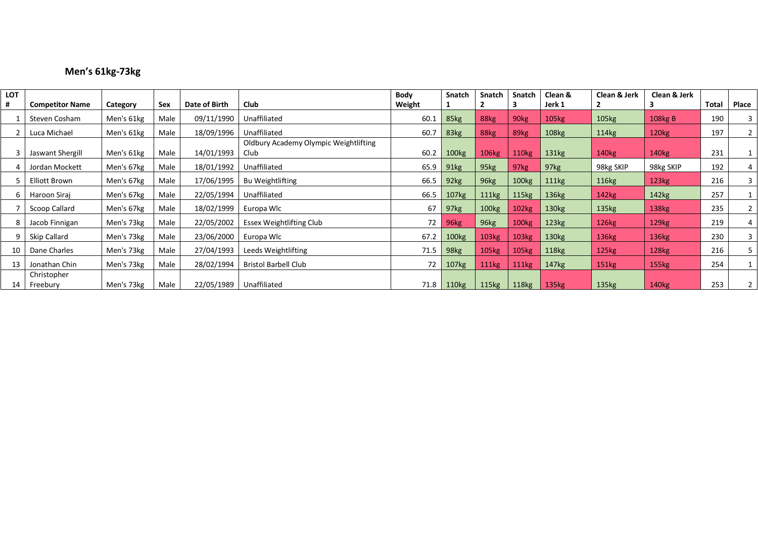# **Men's 61kg-73kg**

| <b>LOT</b> |                        |            |      |               |                                               | <b>Body</b> | Snatch            | <b>Snatch</b> | Snatch            | Clean &           | Clean & Jerk      | Clean & Jerk      |              |                |
|------------|------------------------|------------|------|---------------|-----------------------------------------------|-------------|-------------------|---------------|-------------------|-------------------|-------------------|-------------------|--------------|----------------|
| #          | <b>Competitor Name</b> | Category   | Sex  | Date of Birth | Club                                          | Weight      |                   |               |                   | Jerk 1            |                   | 3                 | <b>Total</b> | Place          |
|            | Steven Cosham          | Men's 61kg | Male | 09/11/1990    | Unaffiliated                                  | 60.1        | 85kg              | 88kg          | 90 <sub>kg</sub>  | 105 <sub>kg</sub> | 105kg             | 108kg B           | 190          | 3              |
|            | Luca Michael           | Men's 61kg | Male | 18/09/1996    | Unaffiliated                                  | 60.7        | 83kg              | 88kg          | 89 <sub>kg</sub>  | 108kg             | 114kg             | 120 <sub>kg</sub> | 197          | 2 <sup>1</sup> |
|            | Jaswant Shergill       | Men's 61kg | Male | 14/01/1993    | Oldbury Academy Olympic Weightlifting<br>Club | 60.2        | 100kg             | 106kg         | 110 <sub>kg</sub> | 131kg             | 140 <sub>kg</sub> | 140 <sub>kg</sub> | 231          |                |
|            | Jordan Mockett         | Men's 67kg | Male | 18/01/1992    | Unaffiliated                                  | 65.9        | 91kg              | 95kg          | 97kg              | 97kg              | 98kg SKIP         | 98kg SKIP         | 192          | 4              |
| 5          | <b>Elliott Brown</b>   | Men's 67kg | Male | 17/06/1995    | <b>Bu Weightlifting</b>                       | 66.5        | 92kg              | 96kg          | 100 <sub>kg</sub> | 111kg             | 116kg             | 123kg             | 216          | 3              |
| 6          | Haroon Siraj           | Men's 67kg | Male | 22/05/1994    | Unaffiliated                                  | 66.5        | 107 <sub>kg</sub> | 111kg         | 115kg             | 136 <sub>kg</sub> | 142kg             | 142kg             | 257          |                |
|            | Scoop Callard          | Men's 67kg | Male | 18/02/1999    | Europa Wlc                                    | 67          | 97kg              | 100kg         | 102kg             | 130 <sub>kg</sub> | 135 <sub>kg</sub> | 138kg             | 235          |                |
| 8          | Jacob Finnigan         | Men's 73kg | Male | 22/05/2002    | Essex Weightlifting Club                      | 72          | 96kg              | 96kg          | 100 <sub>kg</sub> | 123kg             | 126kg             | 129 <sub>kg</sub> | 219          | 4              |
| 9          | Skip Callard           | Men's 73kg | Male | 23/06/2000    | Europa Wlc                                    | 67.2        | 100 <sub>kg</sub> | 103kg         | 103kg             | 130 <sub>kg</sub> | 136kg             | 136kg             | 230          | 3              |
| 10         | Dane Charles           | Men's 73kg | Male | 27/04/1993    | Leeds Weightlifting                           | 71.5        | 98 <sub>kg</sub>  | 105kg         | 105 <sub>kg</sub> | 118 <sub>kg</sub> | 125kg             | 128kg             | 216          | 5              |
| 13         | Jonathan Chin          | Men's 73kg | Male | 28/02/1994    | <b>Bristol Barbell Club</b>                   | 72          | 107 <sub>kg</sub> | <b>111kg</b>  | <b>111kg</b>      | 147 <sub>kg</sub> | 151kg             | <b>155kg</b>      | 254          |                |
|            | Christopher            |            |      |               |                                               |             |                   |               |                   |                   |                   |                   |              |                |
| 14         | Freebury               | Men's 73kg | Male | 22/05/1989    | <b>Unaffiliated</b>                           | 71.8        | 110kg             | 115kg         | 118kg             | 135kg             | 135kg             | 140 <sub>kg</sub> | 253          |                |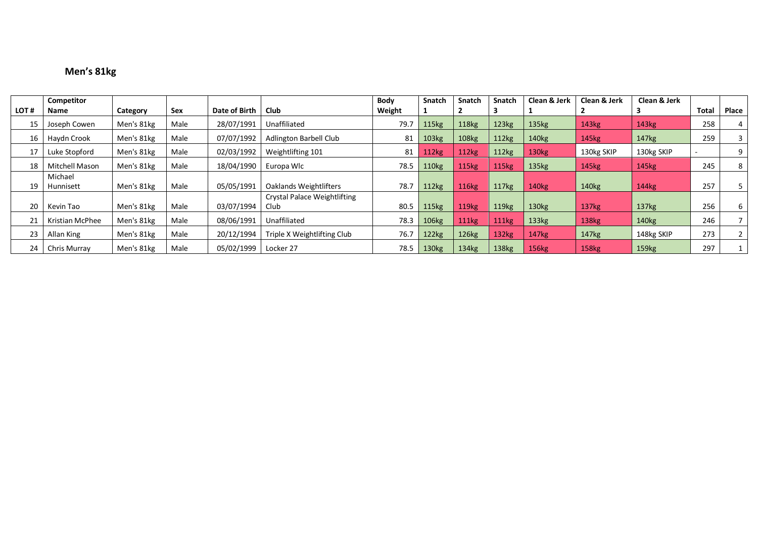# **Men's 81kg**

|      | Competitor            |            |      |               |                                     | <b>Body</b> | <b>Snatch</b>     | <b>Snatch</b>     | <b>Snatch</b>     | Clean & Jerk      | Clean & Jerk      | Clean & Jerk      |       |       |
|------|-----------------------|------------|------|---------------|-------------------------------------|-------------|-------------------|-------------------|-------------------|-------------------|-------------------|-------------------|-------|-------|
| LOT# | Name                  | Category   | Sex  | Date of Birth | Club                                | Weight      |                   |                   |                   |                   |                   |                   | Total | Place |
| 15   | Joseph Cowen          | Men's 81kg | Male | 28/07/1991    | Unaffiliated                        | 79.7        | 115 <sub>kg</sub> | <b>118kg</b>      | 123kg             | 135 <sub>kg</sub> | 143 <sub>kg</sub> | 143 <sub>kg</sub> | 258   |       |
| 16   | Haydn Crook           | Men's 81kg | Male | 07/07/1992    | <b>Adlington Barbell Club</b>       | 81          | 103 <sub>kg</sub> | <b>108kg</b>      | 112kg             | 140kg             | 145kg             | 147 <sub>kg</sub> | 259   |       |
| 17   | Luke Stopford         | Men's 81kg | Male | 02/03/1992    | Weightlifting 101                   | 81          | 112kg             | 112kg             | 112kg             | 130 <sub>kg</sub> | 130kg SKIP        | 130kg SKIP        |       | 9     |
| 18   | <b>Mitchell Mason</b> | Men's 81kg | Male | 18/04/1990    | Europa Wlc                          | 78.5        | 110 <sub>kg</sub> | 115kg             | 115kg             | 135kg             | 145 <sub>kg</sub> | 145 <sub>kg</sub> | 245   | 8     |
|      | Michael               |            |      |               |                                     |             |                   |                   |                   |                   |                   |                   |       |       |
| 19   | Hunnisett             | Men's 81kg | Male | 05/05/1991    | Oaklands Weightlifters              | 78.7        | 112kg             | <b>116kg</b>      | 117kg             | 140kg             | 140 <sub>kg</sub> | 144kg             | 257   |       |
|      |                       |            |      |               | <b>Crystal Palace Weightlifting</b> |             |                   |                   |                   |                   |                   |                   |       |       |
| 20   | Kevin Tao             | Men's 81kg | Male | 03/07/1994    | Club                                | 80.5        | 115 <sub>kg</sub> | 119 <sub>kg</sub> | 119 <sub>kg</sub> | 130 <sub>kg</sub> | 137 <sub>kg</sub> | 137 <sub>kg</sub> | 256   | 6     |
| 21   | Kristian McPhee       | Men's 81kg | Male | 08/06/1991    | Unaffiliated                        | 78.3        | 106kg             | <b>111kg</b>      | 111kg             | 133kg             | 138kg             | 140 <sub>kg</sub> | 246   |       |
| 23   | Allan King            | Men's 81kg | Male | 20/12/1994    | Triple X Weightlifting Club         | 76.7        | 122kg             | 126kg             | 132kg             | 147 <sub>kg</sub> | 147 <sub>kg</sub> | 148kg SKIP        | 273   |       |
| 24   | Chris Murray          | Men's 81kg | Male | 05/02/1999    | Locker 27                           | 78.5        | 130 <sub>kg</sub> | 134kg             | 138kg             | 156kg             | 158 <sub>kg</sub> | 159 <sub>kg</sub> | 297   |       |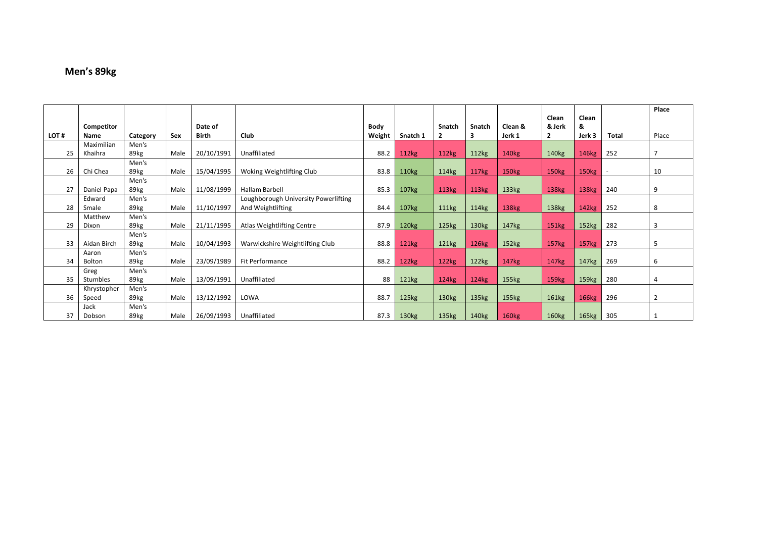# **Men's 89kg**

|      |             |               |      |              |                                      |        |                   |                   |                   |                   |                   |                   |              | Place          |
|------|-------------|---------------|------|--------------|--------------------------------------|--------|-------------------|-------------------|-------------------|-------------------|-------------------|-------------------|--------------|----------------|
|      | Competitor  |               |      | Date of      |                                      | Body   |                   | Snatch            | Snatch            | Clean &           | Clean<br>& Jerk   | Clean<br>&        |              |                |
| LOT# | <b>Name</b> | Category      | Sex  | <b>Birth</b> | Club                                 | Weight | Snatch 1          | $\overline{2}$    | 3                 | Jerk 1            | $\overline{2}$    | Jerk 3            | <b>Total</b> | Place          |
|      | Maximilian  | Men's         |      |              |                                      |        |                   |                   |                   |                   |                   |                   |              | $\overline{7}$ |
| 25   | Khaihra     | 89kg          | Male | 20/10/1991   | Unaffiliated                         | 88.2   | 112kg             | 112kg             | 112kg             | 140 <sub>kg</sub> | 140 <sub>kg</sub> | 146kg             | 252          |                |
| 26   | Chi Chea    | Men's<br>89kg | Male | 15/04/1995   | Woking Weightlifting Club            | 83.8   | 110 <sub>kg</sub> | 114kg             | 117kg             | 150 <sub>kg</sub> | 150 <sub>kg</sub> | 150 <sub>kg</sub> | $\sim$       | 10             |
|      |             | Men's         |      |              |                                      |        |                   |                   |                   |                   |                   |                   |              |                |
| 27   | Daniel Papa | 89kg          | Male | 11/08/1999   | Hallam Barbell                       | 85.3   | 107 <sub>kg</sub> | 113kg             | 113kg             | 133 <sub>kg</sub> | 138kg             | 138 <sub>kg</sub> | 240          | 9              |
|      | Edward      | Men's         |      |              | Loughborough University Powerlifting |        |                   |                   |                   |                   |                   |                   |              |                |
| 28   | Smale       | 89kg          | Male | 11/10/1997   | And Weightlifting                    | 84.4   | 107 <sub>kg</sub> | 111kg             | 114kg             | 138kg             | 138kg             | 142kg             | 252          | 8              |
|      | Matthew     | Men's         |      |              |                                      |        |                   |                   |                   |                   |                   |                   |              |                |
| 29   | Dixon       | 89kg          | Male | 21/11/1995   | Atlas Weightlifting Centre           | 87.9   | 120 <sub>kg</sub> | 125kg             | 130kg             | 147 <sub>kg</sub> | 151kg             | 152kg             | 282          | 3              |
|      |             | Men's         |      |              |                                      |        |                   |                   |                   |                   |                   |                   |              |                |
| 33   | Aidan Birch | 89kg          | Male | 10/04/1993   | Warwickshire Weightlifting Club      | 88.8   | 121kg             | 121kg             | 126kg             | 152kg             | 157kg             | 157kg             | 273          | 5              |
|      | Aaron       | Men's         |      |              |                                      |        |                   |                   |                   |                   |                   |                   |              |                |
| 34   | Bolton      | 89kg          | Male | 23/09/1989   | Fit Performance                      | 88.2   | 122kg             | 122kg             | 122kg             | 147 <sub>kg</sub> | 147 <sub>kg</sub> | 147kg             | 269          | 6              |
|      | Greg        | Men's         |      |              |                                      |        |                   |                   |                   |                   |                   |                   |              |                |
| 35   | Stumbles    | 89kg          | Male | 13/09/1991   | Unaffiliated                         | 88     | 121kg             | 124kg             | 124kg             | 155kg             | 159 <sub>kg</sub> | 159 <sub>kg</sub> | 280          | 4              |
|      | Khrystopher | Men's         |      |              |                                      |        |                   |                   |                   |                   |                   |                   |              |                |
| 36   | Speed       | 89kg          | Male | 13/12/1992   | LOWA                                 | 88.7   | 125kg             | 130 <sub>kg</sub> | 135 <sub>kg</sub> | 155kg             | 161kg             | 166kg             | 296          | $\overline{2}$ |
|      | Jack        | Men's         |      |              |                                      |        |                   |                   |                   |                   |                   |                   |              |                |
| 37   | Dobson      | 89kg          | Male | 26/09/1993   | Unaffiliated                         | 87.3   | 130kg             | 135kg             | 140 <sub>kg</sub> | 160kg             | 160kg             | 165kg             | 305          |                |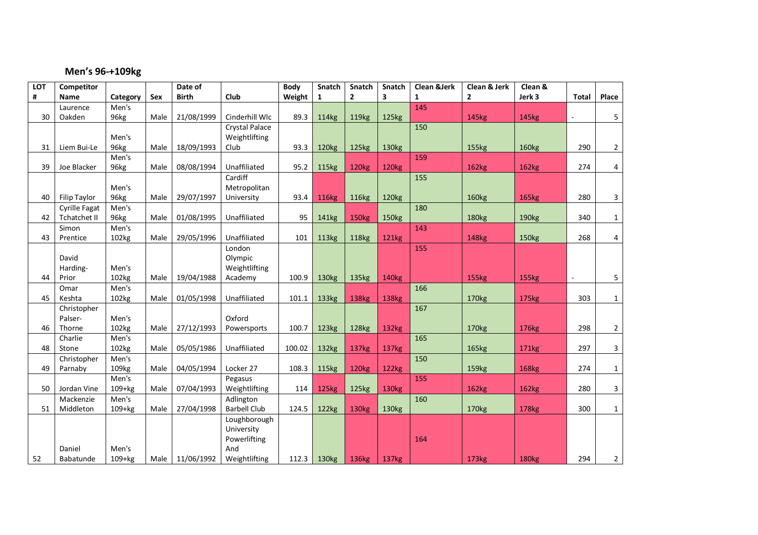#### **Men's 96-+109kg**

| LOT | Competitor           |                   |      | Date of      |                     | <b>Body</b> | Snatch            | Snatch            | <b>Snatch</b>     | <b>Clean &amp;Jerk</b> | Clean & Jerk      | Clean &           |              |                |
|-----|----------------------|-------------------|------|--------------|---------------------|-------------|-------------------|-------------------|-------------------|------------------------|-------------------|-------------------|--------------|----------------|
| #   | <b>Name</b>          | Category          | Sex  | <b>Birth</b> | Club                | Weight      | $\mathbf{1}$      | $\mathbf{2}$      | 3                 | $\mathbf{1}$           | $\mathbf{2}$      | Jerk 3            | <b>Total</b> | Place          |
|     | Laurence             | Men's             |      |              |                     |             |                   |                   |                   | 145                    |                   |                   |              |                |
| 30  | Oakden               | 96kg              | Male | 21/08/1999   | Cinderhill Wlc      | 89.3        | 114kg             | 119 <sub>kg</sub> | 125kg             |                        | 145kg             | 145kg             |              | 5              |
|     |                      |                   |      |              | Crystal Palace      |             |                   |                   |                   | 150                    |                   |                   |              |                |
|     |                      | Men's             |      |              | Weightlifting       |             |                   |                   |                   |                        |                   |                   |              |                |
| 31  | Liem Bui-Le          | 96kg              | Male | 18/09/1993   | Club                | 93.3        | 120 <sub>kg</sub> | 125kg             | 130 <sub>kg</sub> |                        | 155kg             | 160kg             | 290          | $\overline{2}$ |
|     |                      | Men's             |      |              |                     |             |                   |                   |                   | 159                    |                   |                   |              |                |
| 39  | Joe Blacker          | 96kg              | Male | 08/08/1994   | Unaffiliated        | 95.2        | <b>115kg</b>      | <b>120kg</b>      | <b>120kg</b>      |                        | 162kg             | 162kg             | 274          | 4              |
|     |                      |                   |      |              | Cardiff             |             |                   |                   |                   | 155                    |                   |                   |              |                |
|     |                      | Men's             |      |              | Metropolitan        |             |                   |                   |                   |                        |                   |                   |              |                |
| 40  | Filip Taylor         | 96kg              | Male | 29/07/1997   | University          | 93.4        | <b>116kg</b>      | 116 <sub>kg</sub> | 120 <sub>kg</sub> |                        | <b>160kg</b>      | <b>165kg</b>      | 280          | 3              |
|     | <b>Cyrille Fagat</b> | Men's             |      |              |                     |             |                   |                   |                   | 180                    |                   |                   |              |                |
| 42  | <b>Tchatchet II</b>  | 96kg              | Male | 01/08/1995   | Unaffiliated        | 95          | 141kg             | <b>150kg</b>      | 150 <sub>kg</sub> |                        | 180 <sub>kg</sub> | 190 <sub>kg</sub> | 340          | $\mathbf{1}$   |
|     | Simon                | Men's             |      |              |                     |             |                   |                   |                   | 143                    |                   |                   |              |                |
| 43  | Prentice             | 102kg             | Male | 29/05/1996   | Unaffiliated        | 101         | <b>113kg</b>      | <b>118kg</b>      | <b>121kg</b>      |                        | 148 <sub>kg</sub> | 150kg             | 268          | 4              |
|     |                      |                   |      |              | London              |             |                   |                   |                   | 155                    |                   |                   |              |                |
|     | David                |                   |      |              | Olympic             |             |                   |                   |                   |                        |                   |                   |              |                |
|     | Harding-             | Men's             |      |              | Weightlifting       |             |                   |                   |                   |                        |                   |                   |              |                |
| 44  | Prior                | 102kg             | Male | 19/04/1988   | Academy             | 100.9       | 130 <sub>kg</sub> | 135kg             | <b>140kg</b>      |                        | <b>155kg</b>      | 155kg             | $\mathbf{r}$ | 5              |
|     | Omar                 | Men's             |      |              |                     |             |                   |                   |                   | 166                    |                   |                   |              |                |
| 45  | Keshta               | 102kg             | Male | 01/05/1998   | Unaffiliated        | 101.1       | 133kg             | <b>138kg</b>      | 138kg             |                        | 170 <sub>kg</sub> | <b>175kg</b>      | 303          | $\mathbf{1}$   |
|     | Christopher          |                   |      |              |                     |             |                   |                   |                   | 167                    |                   |                   |              |                |
|     | Palser-              | Men's             |      |              | Oxford              |             |                   |                   |                   |                        |                   |                   |              |                |
| 46  | Thorne               | 102kg             | Male | 27/12/1993   | Powersports         | 100.7       | 123kg             | 128kg             | 132kg             |                        | 170 <sub>kg</sub> | 176kg             | 298          | $\overline{2}$ |
|     | Charlie              | Men's             |      |              |                     |             |                   |                   |                   | 165                    |                   |                   |              |                |
| 48  | Stone                | 102kg             | Male | 05/05/1986   | Unaffiliated        | 100.02      | 132kg             | 137 <sub>kg</sub> | 137kg             |                        | 165kg             | 171 <sub>kg</sub> | 297          | 3              |
|     | Christopher          | Men's             |      |              |                     |             |                   |                   |                   | 150                    |                   |                   |              |                |
| 49  | Parnaby              | 109 <sub>kg</sub> | Male | 04/05/1994   | Locker 27           | 108.3       | <b>115kg</b>      | <b>120kg</b>      | 122kg             |                        | 159 <sub>kg</sub> | <b>168kg</b>      | 274          | $\mathbf{1}$   |
|     |                      | Men's             |      |              | Pegasus             |             |                   |                   |                   | 155                    |                   |                   |              |                |
| 50  | Jordan Vine          | $109+kg$          | Male | 07/04/1993   | Weightlifting       | 114         | <b>125kg</b>      | 125kg             | <b>130kg</b>      |                        | 162kg             | 162kg             | 280          | 3              |
|     | Mackenzie            | Men's             |      |              | Adlington           |             |                   |                   |                   | 160                    |                   |                   |              |                |
| 51  | Middleton            | $109+kg$          | Male | 27/04/1998   | <b>Barbell Club</b> | 124.5       | 122kg             | 130 <sub>kg</sub> | 130 <sub>kg</sub> |                        | 170 <sub>kg</sub> | <b>178kg</b>      | 300          | $\mathbf{1}$   |
|     |                      |                   |      |              | Loughborough        |             |                   |                   |                   |                        |                   |                   |              |                |
|     |                      |                   |      |              | University          |             |                   |                   |                   |                        |                   |                   |              |                |
|     |                      |                   |      |              | Powerlifting        |             |                   |                   |                   | 164                    |                   |                   |              |                |
|     | Daniel               | Men's             |      |              | And                 |             |                   |                   |                   |                        |                   |                   |              |                |
| 52  | Babatunde            | $109 + kg$        | Male | 11/06/1992   | Weightlifting       | 112.3       | 130 <sub>kg</sub> | 136kg             | 137kg             |                        | 173 <sub>kg</sub> | <b>180kg</b>      | 294          | $\overline{2}$ |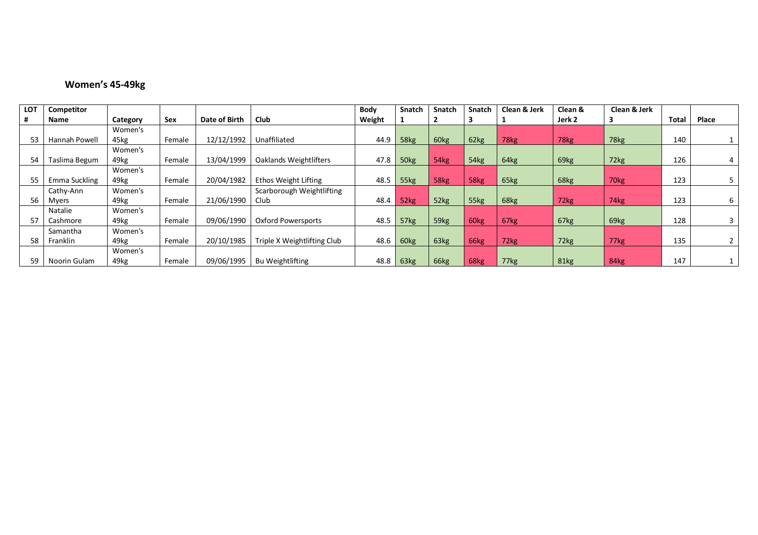#### **Women's 45-49kg**

| <b>LOT</b> | Competitor    |          |        |               |                             | Body   | <b>Snatch</b> | <b>Snatch</b> | <b>Snatch</b>    | Clean & Jerk | Clean & | Clean & Jerk     |              |       |
|------------|---------------|----------|--------|---------------|-----------------------------|--------|---------------|---------------|------------------|--------------|---------|------------------|--------------|-------|
|            | Name          | Category | Sex    | Date of Birth | Club                        | Weight |               |               |                  |              | Jerk 2  |                  | <b>Total</b> | Place |
|            |               | Women's  |        |               |                             |        |               |               |                  |              |         |                  |              |       |
| 53         | Hannah Powell | 45kg     | Female | 12/12/1992    | Unaffiliated                | 44.9   | 58kg          | 60kg          | 62kg             | 78kg         | 78kg    | 78kg             | 140          |       |
|            |               | Women's  |        |               |                             |        |               |               |                  |              |         |                  |              |       |
| 54         | Taslima Begum | 49kg     | Female | 13/04/1999    | Oaklands Weightlifters      | 47.8   | 50kg          | 54kg          | 54kg             | 64kg         | 69kg    | 72kg             | 126          | 4     |
|            |               | Women's  |        |               |                             |        |               |               |                  |              |         |                  |              |       |
| 55         | Emma Suckling | 49kg     | Female | 20/04/1982    | Ethos Weight Lifting        | 48.5   | 55kg          | 58kg          | 58kg             | 65kg         | 68kg    | 70 <sub>kg</sub> | 123          |       |
|            | Cathy-Ann     | Women's  |        |               | Scarborough Weightlifting   |        |               |               |                  |              |         |                  |              |       |
| 56         | Myers         | 49kg     | Female | 21/06/1990    | Club                        | 48.4   | 52kg          | 52kg          | 55kg             | 68kg         | 72kg    | 74kg             | 123          | 6     |
|            | Natalie       | Women's  |        |               |                             |        |               |               |                  |              |         |                  |              |       |
| 57         | Cashmore      | 49kg     | Female | 09/06/1990    | Oxford Powersports          | 48.5   | 57kg          | 59kg          | 60 <sub>kg</sub> | 67kg         | 67kg    | 69kg             | 128          | 3     |
|            | Samantha      | Women's  |        |               |                             |        |               |               |                  |              |         |                  |              |       |
| 58         | Franklin      | 49kg     | Female | 20/10/1985    | Triple X Weightlifting Club | 48.6   | 60kg          | 63kg          | 66kg             | 72kg         | 72kg    | 77kg             | 135          |       |
|            |               | Women's  |        |               |                             |        |               |               |                  |              |         |                  |              |       |
| 59         | Noorin Gulam  | 49kg     | Female | 09/06/1995    | <b>Bu Weightlifting</b>     | 48.8   | 63kg          | 66kg          | 68kg             | 77kg         | 81kg    | 84kg             | 147          |       |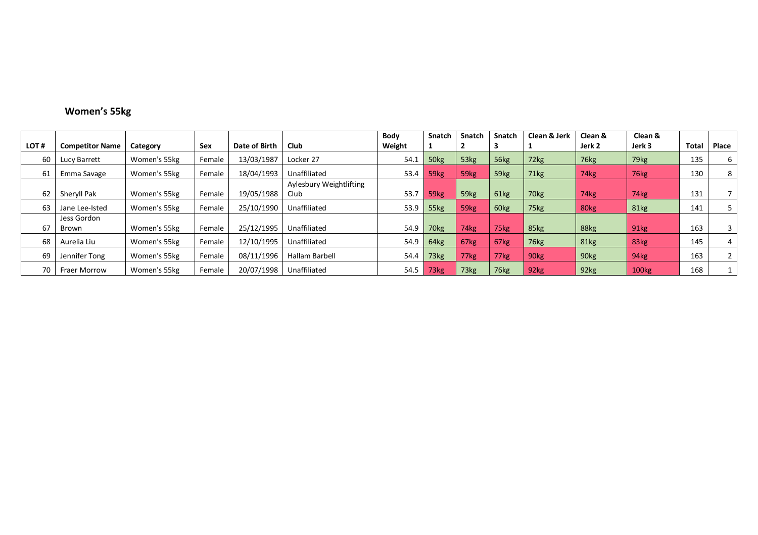# **Women's 55kg**

|      |                        |              |            |               |                         | Body   | <b>Snatch</b>    | <b>Snatch</b>    | <b>Snatch</b> | Clean & Jerk     | Clean &          | Clean &           |       |       |
|------|------------------------|--------------|------------|---------------|-------------------------|--------|------------------|------------------|---------------|------------------|------------------|-------------------|-------|-------|
| LOT# | <b>Competitor Name</b> | Category     | <b>Sex</b> | Date of Birth | <b>Club</b>             | Weight |                  |                  |               |                  | Jerk 2           | Jerk 3            | Total | Place |
| 60   | Lucy Barrett           | Women's 55kg | Female     | 13/03/1987    | Locker 27               | 54.1   | 50 <sub>kg</sub> | 53kg             | 56kg          | 72kg             | 76kg             | 79 <sub>kg</sub>  | 135   | 6     |
| 61   | Emma Savage            | Women's 55kg | Female     | 18/04/1993    | Unaffiliated            | 53.4   | 59 <sub>kg</sub> | 59 <sub>kg</sub> | 59kg          | 71kg             | 74kg             | 76kg              | 130   | 8     |
|      |                        |              |            |               | Aylesbury Weightlifting |        |                  |                  |               |                  |                  |                   |       |       |
| 62   | Sheryll Pak            | Women's 55kg | Female     | 19/05/1988    | Club                    | 53.7   | 59 <sub>kg</sub> | 59 <sub>kg</sub> | 61kg          | 70 <sub>kg</sub> | 74kg             | 74kg              | 131   |       |
| 63   | Jane Lee-Isted         | Women's 55kg | Female     | 25/10/1990    | Unaffiliated            | 53.9   | 55kg             | 59 <sub>kg</sub> | 60kg          | 75kg             | 80kg             | 81kg              | 141   |       |
|      | Jess Gordon            |              |            |               |                         |        |                  |                  |               |                  |                  |                   |       |       |
| 67   | Brown                  | Women's 55kg | Female     | 25/12/1995    | Unaffiliated            | 54.9   | 70 <sub>kg</sub> | 74kg             | 75kg          | 85kg             | 88kg             | 91kg              | 163   | 3     |
| 68   | Aurelia Liu            | Women's 55kg | Female     | 12/10/1995    | Unaffiliated            | 54.9   | 64kg             | 67kg             | 67kg          | 76kg             | 81kg             | 83kg              | 145   | 4     |
| 69   | Jennifer Tong          | Women's 55kg | Female     | 08/11/1996    | <b>Hallam Barbell</b>   | 54.4   | 73kg             | 77kg             | 77kg          | 90 <sub>kg</sub> | 90 <sub>kg</sub> | 94kg              | 163   |       |
| 70   | <b>Fraer Morrow</b>    | Women's 55kg | Female     | 20/07/1998    | Unaffiliated            | 54.5   | 73 <sub>kg</sub> | 73 <sub>kg</sub> | 76kg          | 92 <sub>kg</sub> | 92kg             | 100 <sub>kg</sub> | 168   |       |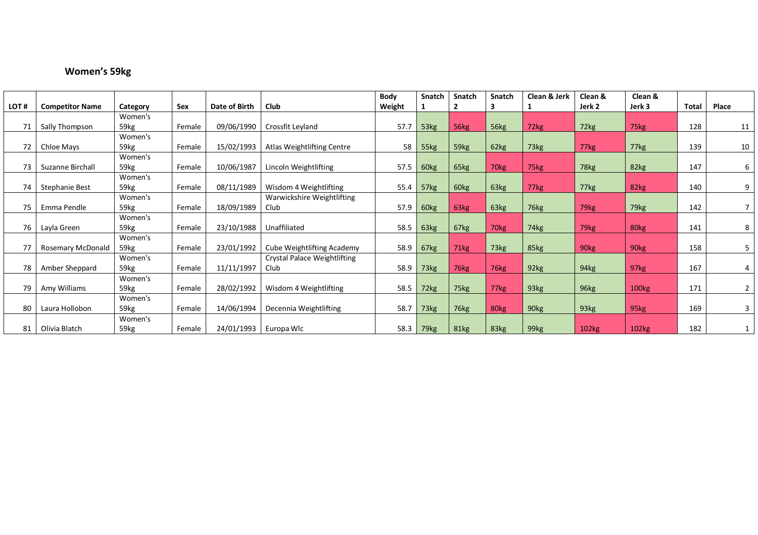# **Women's 59kg**

|      |                        |                  |        |               |                                     | Body   | Snatch           | Snatch           | <b>Snatch</b>      | Clean & Jerk     | Clean &          | Clean & |              |                |
|------|------------------------|------------------|--------|---------------|-------------------------------------|--------|------------------|------------------|--------------------|------------------|------------------|---------|--------------|----------------|
| LOT# | <b>Competitor Name</b> | Category         | Sex    | Date of Birth | <b>Club</b>                         | Weight |                  |                  |                    |                  | Jerk 2           | Jerk 3  | <b>Total</b> | Place          |
|      |                        | Women's          |        |               |                                     |        |                  |                  |                    |                  |                  |         |              |                |
| 71   | Sally Thompson         | 59kg             | Female | 09/06/1990    | Crossfit Leyland                    | 57.7   | 53kg             | 56kg             | 56kg               | 72kg             | 72kg             | 75kg    | 128          | 11             |
|      |                        | Women's          |        |               |                                     |        |                  |                  |                    |                  |                  |         |              |                |
| 72   | Chloe Mays             | 59kg             | Female | 15/02/1993    | Atlas Weightlifting Centre          | 58     | 55kg             | 59kg             | 62kg               | 73kg             | 77kg             | 77kg    | 139          | 10             |
|      |                        | Women's          |        |               |                                     |        |                  |                  |                    |                  |                  |         |              |                |
| 73   | Suzanne Birchall       | 59kg             | Female | 10/06/1987    | Lincoln Weightlifting               | 57.5   | 60kg             | 65kg             | 70 <sub>kg</sub>   | 75kg             | 78kg             | 82kg    | 147          | 6              |
|      |                        | Women's          |        |               |                                     |        |                  |                  |                    |                  |                  |         |              |                |
| 74   | <b>Stephanie Best</b>  | 59kg             | Female | 08/11/1989    | Wisdom 4 Weightlifting              | 55.4   | 57kg             | 60kg             | 63kg               | 77kg             | 77kg             | 82kg    | 140          | 9              |
|      |                        | Women's          |        |               | Warwickshire Weightlifting          |        |                  |                  |                    |                  |                  |         |              |                |
| 75   | Emma Pendle            | 59 <sub>kg</sub> | Female | 18/09/1989    | Club                                | 57.9   | 60kg             | 63 <sub>kg</sub> | 63kg               | 76kg             | 79kg             | 79kg    | 142          | $\overline{7}$ |
|      |                        | Women's          |        |               |                                     |        |                  |                  |                    |                  |                  |         |              |                |
| 76   | Layla Green            | 59kg             | Female | 23/10/1988    | Unaffiliated                        | 58.5   | 63kg             | 67kg             | 70 <sub>kg</sub>   | 74kg             | 79 <sub>kg</sub> | 80kg    | 141          | 8              |
|      |                        | Women's          |        |               |                                     |        |                  |                  |                    |                  |                  |         |              |                |
| 77   | Rosemary McDonald      | 59 <sub>kg</sub> | Female | 23/01/1992    | Cube Weightlifting Academy          | 58.9   | 67kg             | 71kg             | 73kg               | 85kg             | 90 <sub>kg</sub> | 90kg    | 158          | 5              |
|      |                        | Women's          |        |               | <b>Crystal Palace Weightlifting</b> |        |                  |                  |                    |                  |                  |         |              |                |
| 78   | Amber Sheppard         | 59kg             | Female | 11/11/1997    | Club                                | 58.9   | 73kg             | 76kg             | $76$ <sub>kg</sub> | 92kg             | 94kg             | 97kg    | 167          | 4              |
|      |                        | Women's          |        |               |                                     |        |                  |                  |                    |                  |                  |         |              |                |
| 79   | Amy Williams           | 59kg             | Female | 28/02/1992    | Wisdom 4 Weightlifting              | 58.5   | 72kg             | 75kg             | $77$ $kg2$         | 93kg             | 96kg             | 100kg   | 171          | $\overline{2}$ |
|      |                        | Women's          |        |               |                                     |        |                  |                  |                    |                  |                  |         |              |                |
| 80   | Laura Hollobon         | 59kg             | Female | 14/06/1994    | Decennia Weightlifting              | 58.7   | 73 <sub>kg</sub> | 76kg             | 80kg               | 90kg             | 93kg             | 95kg    | 169          | 3              |
|      |                        | Women's          |        |               |                                     |        |                  |                  |                    |                  |                  |         |              |                |
| 81   | Olivia Blatch          | 59kg             | Female | 24/01/1993    | Europa Wlc                          | 58.3   | 79 <sub>kg</sub> | 81kg             | 83kg               | 99 <sub>kg</sub> | 102kg            | 102kg   | 182          |                |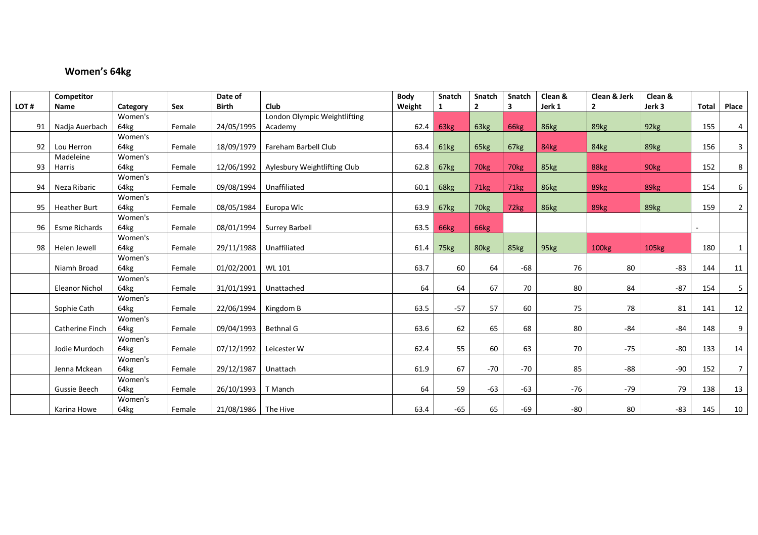# **Women's 64kg**

|      | Competitor            |          |        | Date of             |                              | Body   | Snatch | Snatch           | Snatch           | Clean & | Clean & Jerk   | Clean & |              |                |
|------|-----------------------|----------|--------|---------------------|------------------------------|--------|--------|------------------|------------------|---------|----------------|---------|--------------|----------------|
| LOT# | Name                  | Category | Sex    | <b>Birth</b>        | Club                         | Weight | 1      | $\overline{2}$   | 3                | Jerk 1  | $\overline{2}$ | Jerk 3  | <b>Total</b> | Place          |
|      |                       | Women's  |        |                     | London Olympic Weightlifting |        |        |                  |                  |         |                |         |              |                |
| 91   | Nadja Auerbach        | 64kg     | Female | 24/05/1995          | Academy                      | 62.4   | 63kg   | 63kg             | 66kg             | 86kg    | 89kg           | 92kg    | 155          | $\overline{4}$ |
|      |                       | Women's  |        |                     |                              |        |        |                  |                  |         |                |         |              |                |
| 92   | Lou Herron            | 64kg     | Female | 18/09/1979          | Fareham Barbell Club         | 63.4   | 61kg   | 65kg             | 67kg             | 84kg    | 84kg           | 89kg    | 156          | 3              |
|      | Madeleine             | Women's  |        |                     |                              |        |        |                  |                  |         |                |         |              |                |
| 93   | Harris                | 64kg     | Female | 12/06/1992          | Aylesbury Weightlifting Club | 62.8   | 67kg   | 70kg             | 70 <sub>kg</sub> | 85kg    | 88kg           | 90kg    | 152          | 8              |
|      |                       | Women's  |        |                     |                              |        |        |                  |                  |         |                |         |              |                |
| 94   | Neza Ribaric          | 64kg     | Female | 09/08/1994          | Unaffiliated                 | 60.1   | 68kg   | 71 <sub>kg</sub> | 71kg             | 86kg    | 89kg           | 89kg    | 154          | 6              |
|      |                       | Women's  |        |                     |                              |        |        |                  |                  |         |                |         |              |                |
| 95   | <b>Heather Burt</b>   | 64kg     | Female | 08/05/1984          | Europa Wlc                   | 63.9   | 67kg   | 70kg             | 72kg             | 86kg    | 89kg           | 89kg    | 159          | $\overline{2}$ |
|      |                       | Women's  |        |                     |                              |        |        |                  |                  |         |                |         |              |                |
| 96   | <b>Esme Richards</b>  | 64kg     | Female | 08/01/1994          | <b>Surrey Barbell</b>        | 63.5   | 66kg   | 66kg             |                  |         |                |         |              |                |
|      |                       | Women's  |        |                     |                              |        |        |                  |                  |         |                |         |              |                |
| 98   | Helen Jewell          | 64kg     | Female | 29/11/1988          | Unaffiliated                 | 61.4   | 75kg   | 80 <sub>kg</sub> | 85kg             | 95kg    | <b>100kg</b>   | 105kg   | 180          | $\mathbf{1}$   |
|      |                       | Women's  |        |                     |                              |        |        |                  |                  |         |                |         |              |                |
|      | Niamh Broad           | 64kg     | Female | 01/02/2001          | WL 101                       | 63.7   | 60     | 64               | $-68$            | 76      | 80             | $-83$   | 144          | 11             |
|      |                       | Women's  |        |                     |                              |        |        |                  |                  |         |                |         |              |                |
|      | <b>Eleanor Nichol</b> | 64kg     | Female | 31/01/1991          | Unattached                   | 64     | 64     | 67               | 70               | 80      | 84             | $-87$   | 154          | 5              |
|      |                       | Women's  |        |                     |                              |        |        |                  |                  |         |                |         |              |                |
|      | Sophie Cath           | 64kg     | Female | 22/06/1994          | Kingdom B                    | 63.5   | $-57$  | 57               | 60               | 75      | 78             | 81      | 141          | 12             |
|      |                       | Women's  |        |                     |                              |        |        |                  |                  |         |                |         |              |                |
|      | Catherine Finch       | 64kg     | Female | 09/04/1993          | Bethnal G                    | 63.6   | 62     | 65               | 68               | 80      | $-84$          | $-84$   | 148          | 9              |
|      |                       | Women's  |        |                     |                              |        |        |                  |                  |         |                |         |              |                |
|      | Jodie Murdoch         | 64kg     | Female | 07/12/1992          | Leicester W                  | 62.4   | 55     | 60               | 63               | 70      | $-75$          | $-80$   | 133          | 14             |
|      |                       | Women's  |        |                     |                              |        |        |                  |                  |         |                |         |              |                |
|      | Jenna Mckean          | 64kg     | Female | 29/12/1987          | Unattach                     | 61.9   | 67     | $-70$            | $-70$            | 85      | -88            | $-90$   | 152          | $\overline{7}$ |
|      |                       | Women's  |        |                     |                              |        |        |                  |                  |         |                |         |              |                |
|      | Gussie Beech          | 64kg     | Female | 26/10/1993          | T Manch                      | 64     | 59     | $-63$            | $-63$            | $-76$   | $-79$          | 79      | 138          | 13             |
|      |                       | Women's  |        |                     |                              |        |        |                  |                  |         |                |         |              |                |
|      | Karina Howe           | 64kg     | Female | 21/08/1986 The Hive |                              | 63.4   | $-65$  | 65               | $-69$            | $-80$   | 80             | $-83$   | 145          | 10             |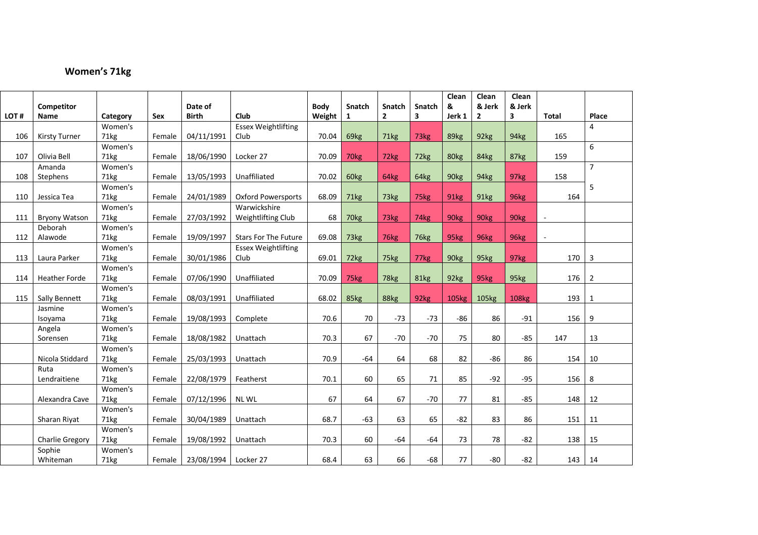# **Women's 71kg**

|      |                        |          |        |              |                             |             |                  |                |               | Clean            | Clean             | Clean            |              |                |
|------|------------------------|----------|--------|--------------|-----------------------------|-------------|------------------|----------------|---------------|------------------|-------------------|------------------|--------------|----------------|
|      | Competitor             |          |        | Date of      |                             | <b>Body</b> | <b>Snatch</b>    | <b>Snatch</b>  | <b>Snatch</b> | &                | & Jerk            | & Jerk           |              |                |
| LOT# | Name                   | Category | Sex    | <b>Birth</b> | Club                        | Weight      | $\mathbf{1}$     | $\overline{2}$ | 3             | Jerk 1           | $\overline{2}$    | 3                | <b>Total</b> | Place          |
|      |                        | Women's  |        |              | <b>Essex Weightlifting</b>  |             |                  |                |               |                  |                   |                  |              | 4              |
| 106  | <b>Kirsty Turner</b>   | 71kg     | Female | 04/11/1991   | Club                        | 70.04       | 69kg             | 71kg           | 73kg          | 89kg             | 92kg              | 94kg             | 165          |                |
|      |                        | Women's  |        |              |                             |             |                  |                |               |                  |                   |                  |              | 6              |
| 107  | Olivia Bell            | 71kg     | Female | 18/06/1990   | Locker 27                   | 70.09       | 70 <sub>kg</sub> | 72kg           | 72kg          | 80kg             | 84kg              | 87kg             | 159          |                |
|      | Amanda                 | Women's  |        |              |                             |             |                  |                |               |                  |                   |                  |              | $\overline{7}$ |
| 108  | Stephens               | 71kg     | Female | 13/05/1993   | Unaffiliated                | 70.02       | 60kg             | 64kg           | 64kg          | 90kg             | 94kg              | 97kg             | 158          |                |
|      |                        | Women's  |        |              |                             |             |                  |                |               |                  |                   |                  |              | 5              |
| 110  | Jessica Tea            | 71kg     | Female | 24/01/1989   | <b>Oxford Powersports</b>   | 68.09       | 71kg             | 73kg           | 75kg          | 91kg             | 91kg              | 96kg             | 164          |                |
|      |                        | Women's  |        |              | Warwickshire                |             |                  |                |               |                  |                   |                  |              |                |
| 111  | <b>Bryony Watson</b>   | 71kg     | Female | 27/03/1992   | Weightlifting Club          | 68          | 70 <sub>kg</sub> | 73kg           | 74kg          | 90 <sub>kg</sub> | 90 <sub>kg</sub>  | 90 <sub>kg</sub> |              |                |
|      | Deborah                | Women's  |        |              |                             |             |                  |                |               |                  |                   |                  |              |                |
| 112  | Alawode                | 71kg     | Female | 19/09/1997   | <b>Stars For The Future</b> | 69.08       | 73kg             | 76kg           | 76kg          | 95kg             | 96kg              | 96kg             | $\sim$       |                |
|      |                        | Women's  |        |              | <b>Essex Weightlifting</b>  |             |                  |                |               |                  |                   |                  |              |                |
| 113  | Laura Parker           | 71kg     | Female | 30/01/1986   | Club                        | 69.01       | 72kg             | 75kg           | 77kg          | 90 <sub>kg</sub> | 95kg              | 97kg             | 170          | 3              |
|      |                        | Women's  |        |              |                             |             |                  |                |               |                  |                   |                  |              |                |
| 114  | <b>Heather Forde</b>   | 71kg     | Female | 07/06/1990   | Unaffiliated                | 70.09       | 75kg             | 78kg           | <b>81kg</b>   | 92kg             | 95kg              | 95kg             | 176          | 2              |
|      |                        | Women's  |        |              |                             |             |                  |                |               |                  |                   |                  |              |                |
| 115  | Sally Bennett          | 71kg     | Female | 08/03/1991   | Unaffiliated                | 68.02       | 85kg             | 88kg           | 92kg          | 105kg            | 105 <sub>kg</sub> | 108kg            | 193          | 1              |
|      | Jasmine                | Women's  |        |              |                             |             |                  |                |               |                  |                   |                  |              |                |
|      | Isoyama                | 71kg     | Female | 19/08/1993   | Complete                    | 70.6        | 70               | $-73$          | $-73$         | $-86$            | 86                | $-91$            | 156          | 9              |
|      | Angela                 | Women's  |        |              |                             |             |                  |                |               |                  |                   |                  |              |                |
|      | Sorensen               | 71kg     | Female | 18/08/1982   | Unattach                    | 70.3        | 67               | $-70$          | $-70$         | 75               | 80                | $-85$            | 147          | 13             |
|      |                        | Women's  |        |              |                             |             |                  |                |               |                  |                   |                  |              |                |
|      | Nicola Stiddard        | 71kg     | Female | 25/03/1993   | Unattach                    | 70.9        | $-64$            | 64             | 68            | 82               | $-86$             | 86               | 154          | 10             |
|      | Ruta                   | Women's  |        |              |                             |             |                  |                |               |                  |                   |                  |              |                |
|      | Lendraitiene           | 71kg     | Female | 22/08/1979   | Featherst                   | 70.1        | 60               | 65             | 71            | 85               | $-92$             | $-95$            | 156          | 8              |
|      |                        | Women's  |        |              |                             |             |                  |                |               |                  |                   |                  |              |                |
|      | Alexandra Cave         | 71kg     | Female | 07/12/1996   | <b>NLWL</b>                 | 67          | 64               | 67             | $-70$         | 77               | 81                | $-85$            | 148          | 12             |
|      |                        | Women's  |        |              |                             |             |                  |                |               |                  |                   |                  |              |                |
|      | Sharan Riyat           | 71kg     | Female | 30/04/1989   | Unattach                    | 68.7        | $-63$            | 63             | 65            | $-82$            | 83                | 86               | 151          | 11             |
|      |                        | Women's  |        |              |                             |             |                  |                |               |                  |                   |                  |              |                |
|      | <b>Charlie Gregory</b> | 71kg     | Female | 19/08/1992   | Unattach                    | 70.3        | 60               | $-64$          | $-64$         | 73               | 78                | $-82$            | 138          | 15             |
|      | Sophie                 | Women's  |        |              |                             |             |                  |                |               |                  |                   |                  |              |                |
|      | Whiteman               | 71kg     | Female | 23/08/1994   | Locker 27                   | 68.4        | 63               | 66             | $-68$         | 77               | $-80$             | -82              | 143          | 14             |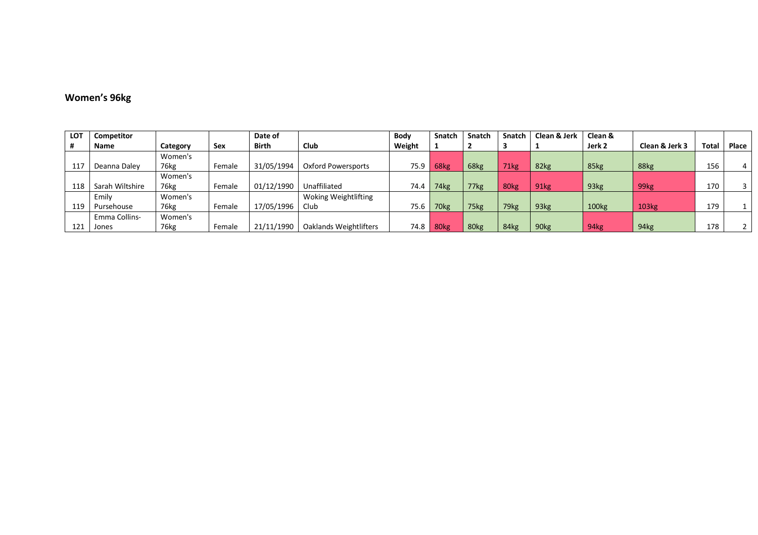#### **Women's 96kg**

| LOT | Competitor           |          |        | Date of      |                        | Body   | Snatch           | <b>Snatch</b>    | Snatch           | Clean & Jerk     | Clean &           |                  |              |       |
|-----|----------------------|----------|--------|--------------|------------------------|--------|------------------|------------------|------------------|------------------|-------------------|------------------|--------------|-------|
| #   | Name                 | Category | Sex    | <b>Birth</b> | <b>Club</b>            | Weight |                  |                  |                  |                  | Jerk 2            | Clean & Jerk 3   | <b>Total</b> | Place |
|     |                      | Women's  |        |              |                        |        |                  |                  |                  |                  |                   |                  |              |       |
| 117 | Deanna Dalev         | 76kg     | Female | 31/05/1994   | Oxford Powersports     | 75.9   | 68kg             | 68kg             | 71kg             | 82kg             | 85kg              | 88kg             | 156          |       |
|     |                      | Women's  |        |              |                        |        |                  |                  |                  |                  |                   |                  |              |       |
| 118 | Sarah Wiltshire      | 76kg     | Female | 01/12/1990   | Unaffiliated           | 74.4   | 74 <sub>kg</sub> | 77kg             | 80 <sub>kg</sub> | 91 <sub>kg</sub> | 93kg              | 99 <sub>kg</sub> | 170          |       |
|     | Emily                | Women's  |        |              | Woking Weightlifting   |        |                  |                  |                  |                  |                   |                  |              |       |
| 119 | Pursehouse           | 76kg     | Female | 17/05/1996   | Club                   | 75.6   | 70kg             | 75 <sub>kg</sub> | 79 <sub>kg</sub> | 93 <sub>kg</sub> | 100 <sub>kg</sub> | 103kg            | 179          |       |
|     | <b>Emma Collins-</b> | Women's  |        |              |                        |        |                  |                  |                  |                  |                   |                  |              |       |
| 121 | Jones                | 76kg     | Female | 21/11/1990   | Oaklands Weightlifters | 74.8   | 80 <sub>kg</sub> | 80 <sub>kg</sub> | 84kg             | 90 <sub>kg</sub> | 94 <sub>kg</sub>  | 94kg             | 178          |       |